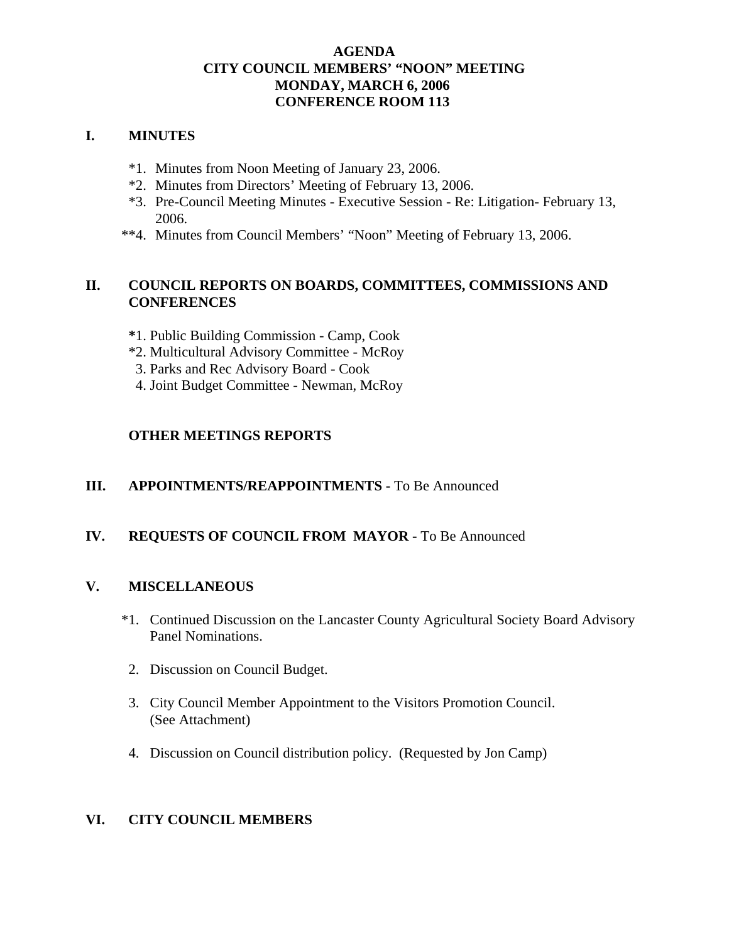## **AGENDA CITY COUNCIL MEMBERS' "NOON" MEETING MONDAY, MARCH 6, 2006 CONFERENCE ROOM 113**

## **I. MINUTES**

- \*1. Minutes from Noon Meeting of January 23, 2006.
- \*2. Minutes from Directors' Meeting of February 13, 2006.
- \*3. Pre-Council Meeting Minutes Executive Session Re: Litigation- February 13, 2006.
- \*\*4. Minutes from Council Members' "Noon" Meeting of February 13, 2006.

## **II. COUNCIL REPORTS ON BOARDS, COMMITTEES, COMMISSIONS AND CONFERENCES**

- **\***1. Public Building Commission Camp, Cook
- \*2. Multicultural Advisory Committee McRoy
- 3. Parks and Rec Advisory Board Cook
- 4. Joint Budget Committee Newman, McRoy

### **OTHER MEETINGS REPORTS**

#### **III.** APPOINTMENTS/REAPPOINTMENTS - To Be Announced

## **IV. REQUESTS OF COUNCIL FROM MAYOR -** To Be Announced

#### **V. MISCELLANEOUS**

- \*1. Continued Discussion on the Lancaster County Agricultural Society Board Advisory Panel Nominations.
- 2. Discussion on Council Budget.
- 3. City Council Member Appointment to the Visitors Promotion Council. (See Attachment)
- 4. Discussion on Council distribution policy. (Requested by Jon Camp)

#### **VI. CITY COUNCIL MEMBERS**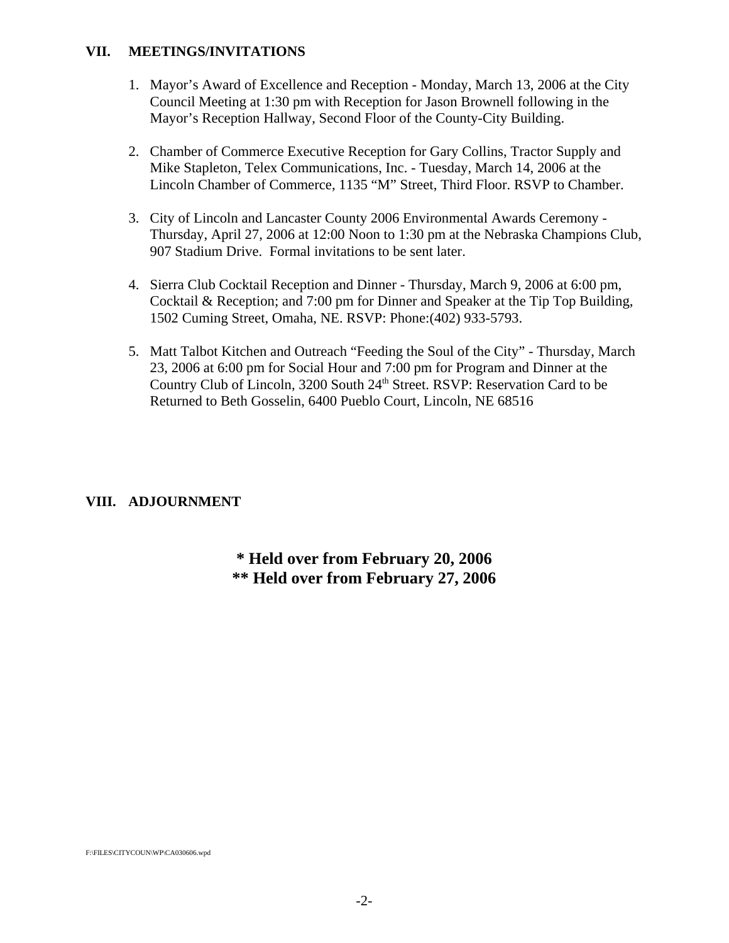#### **VII. MEETINGS/INVITATIONS**

- 1. Mayor's Award of Excellence and Reception Monday, March 13, 2006 at the City Council Meeting at 1:30 pm with Reception for Jason Brownell following in the Mayor's Reception Hallway, Second Floor of the County-City Building.
- 2. Chamber of Commerce Executive Reception for Gary Collins, Tractor Supply and Mike Stapleton, Telex Communications, Inc. - Tuesday, March 14, 2006 at the Lincoln Chamber of Commerce, 1135 "M" Street, Third Floor. RSVP to Chamber.
- 3. City of Lincoln and Lancaster County 2006 Environmental Awards Ceremony Thursday, April 27, 2006 at 12:00 Noon to 1:30 pm at the Nebraska Champions Club, 907 Stadium Drive. Formal invitations to be sent later.
- 4. Sierra Club Cocktail Reception and Dinner Thursday, March 9, 2006 at 6:00 pm, Cocktail & Reception; and 7:00 pm for Dinner and Speaker at the Tip Top Building, 1502 Cuming Street, Omaha, NE. RSVP: Phone:(402) 933-5793.
- 5. Matt Talbot Kitchen and Outreach "Feeding the Soul of the City" Thursday, March 23, 2006 at 6:00 pm for Social Hour and 7:00 pm for Program and Dinner at the Country Club of Lincoln, 3200 South 24<sup>th</sup> Street. RSVP: Reservation Card to be Returned to Beth Gosselin, 6400 Pueblo Court, Lincoln, NE 68516

## **VIII. ADJOURNMENT**

**\* Held over from February 20, 2006 \*\* Held over from February 27, 2006**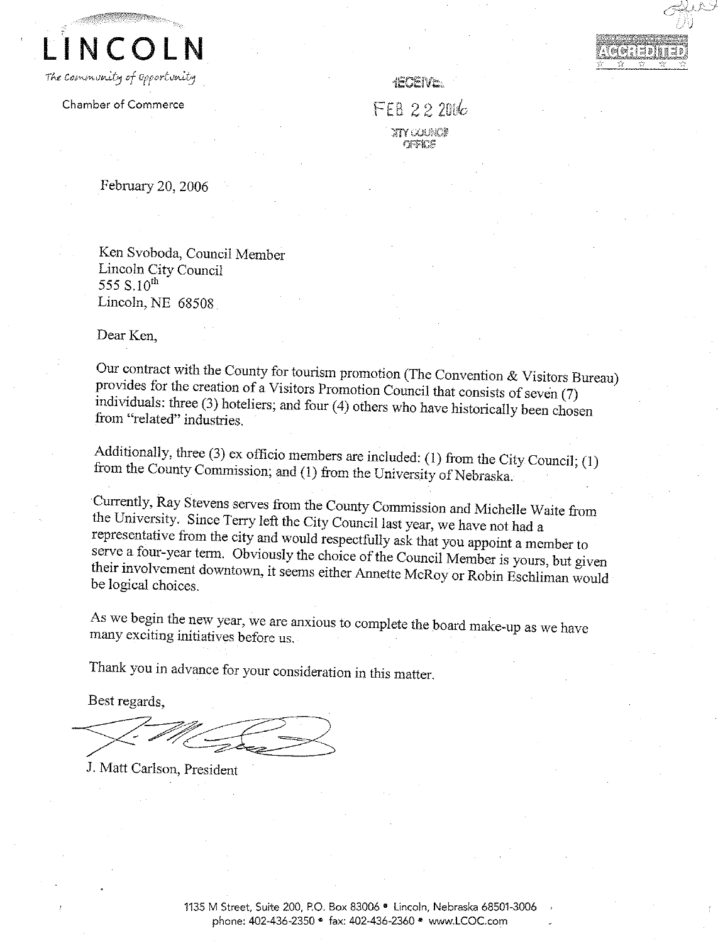**NCOLN** The community of opportunity

Chamber of Commerce

**IECEIVE.** 

FEB 222016 2IY COUNC!!  $GFRC$ 

February 20, 2006

Ken Svoboda, Council Member Lincoln City Council 555 S.10<sup>th</sup> Lincoln, NE 68508

Dear Ken.

Our contract with the County for tourism promotion (The Convention & Visitors Bureau) provides for the creation of a Visitors Promotion Council that consists of seven (7) individuals: three (3) hoteliers; and four (4) others who have historically been chosen from "related" industries.

Additionally, three (3) ex officio members are included: (1) from the City Council; (1) from the County Commission; and (1) from the University of Nebraska.

Currently, Ray Stevens serves from the County Commission and Michelle Waite from the University. Since Terry left the City Council last year, we have not had a representative from the city and would respectfully ask that you appoint a member to serve a four-year term. Obviously the choice of the Council Member is yours, but given their involvement downtown, it seems either Annette McRoy or Robin Eschliman would be logical choices.

As we begin the new year, we are anxious to complete the board make-up as we have many exciting initiatives before us.

Thank you in advance for your consideration in this matter.

Best regards,

J. Matt Carlson, President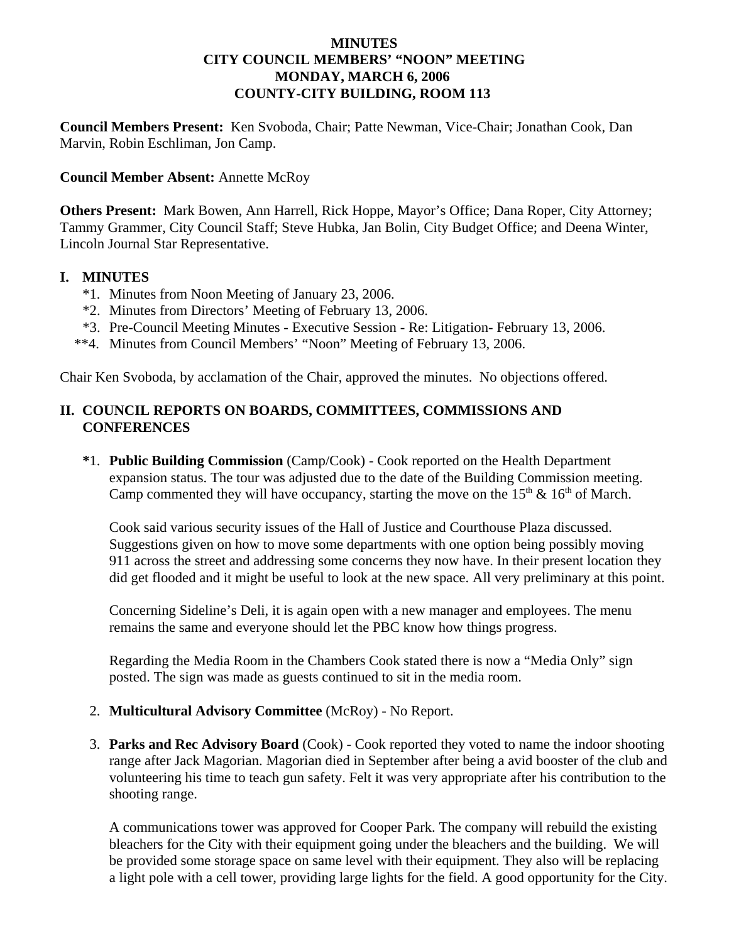### **MINUTES CITY COUNCIL MEMBERS' "NOON" MEETING MONDAY, MARCH 6, 2006 COUNTY-CITY BUILDING, ROOM 113**

**Council Members Present:** Ken Svoboda, Chair; Patte Newman, Vice-Chair; Jonathan Cook, Dan Marvin, Robin Eschliman, Jon Camp.

### **Council Member Absent:** Annette McRoy

**Others Present:** Mark Bowen, Ann Harrell, Rick Hoppe, Mayor's Office; Dana Roper, City Attorney; Tammy Grammer, City Council Staff; Steve Hubka, Jan Bolin, City Budget Office; and Deena Winter, Lincoln Journal Star Representative.

### **I. MINUTES**

- \*1. Minutes from Noon Meeting of January 23, 2006.
- \*2. Minutes from Directors' Meeting of February 13, 2006.
- \*3. Pre-Council Meeting Minutes Executive Session Re: Litigation- February 13, 2006.
- \*\*4. Minutes from Council Members' "Noon" Meeting of February 13, 2006.

Chair Ken Svoboda, by acclamation of the Chair, approved the minutes. No objections offered.

## **II. COUNCIL REPORTS ON BOARDS, COMMITTEES, COMMISSIONS AND CONFERENCES**

**\***1. **Public Building Commission** (Camp/Cook) - Cook reported on the Health Department expansion status. The tour was adjusted due to the date of the Building Commission meeting. Camp commented they will have occupancy, starting the move on the  $15<sup>th</sup>$  &  $16<sup>th</sup>$  of March.

Cook said various security issues of the Hall of Justice and Courthouse Plaza discussed. Suggestions given on how to move some departments with one option being possibly moving 911 across the street and addressing some concerns they now have. In their present location they did get flooded and it might be useful to look at the new space. All very preliminary at this point.

Concerning Sideline's Deli, it is again open with a new manager and employees. The menu remains the same and everyone should let the PBC know how things progress.

Regarding the Media Room in the Chambers Cook stated there is now a "Media Only" sign posted. The sign was made as guests continued to sit in the media room.

- 2. **Multicultural Advisory Committee** (McRoy) No Report.
- 3. **Parks and Rec Advisory Board** (Cook) Cook reported they voted to name the indoor shooting range after Jack Magorian. Magorian died in September after being a avid booster of the club and volunteering his time to teach gun safety. Felt it was very appropriate after his contribution to the shooting range.

A communications tower was approved for Cooper Park. The company will rebuild the existing bleachers for the City with their equipment going under the bleachers and the building. We will be provided some storage space on same level with their equipment. They also will be replacing a light pole with a cell tower, providing large lights for the field. A good opportunity for the City.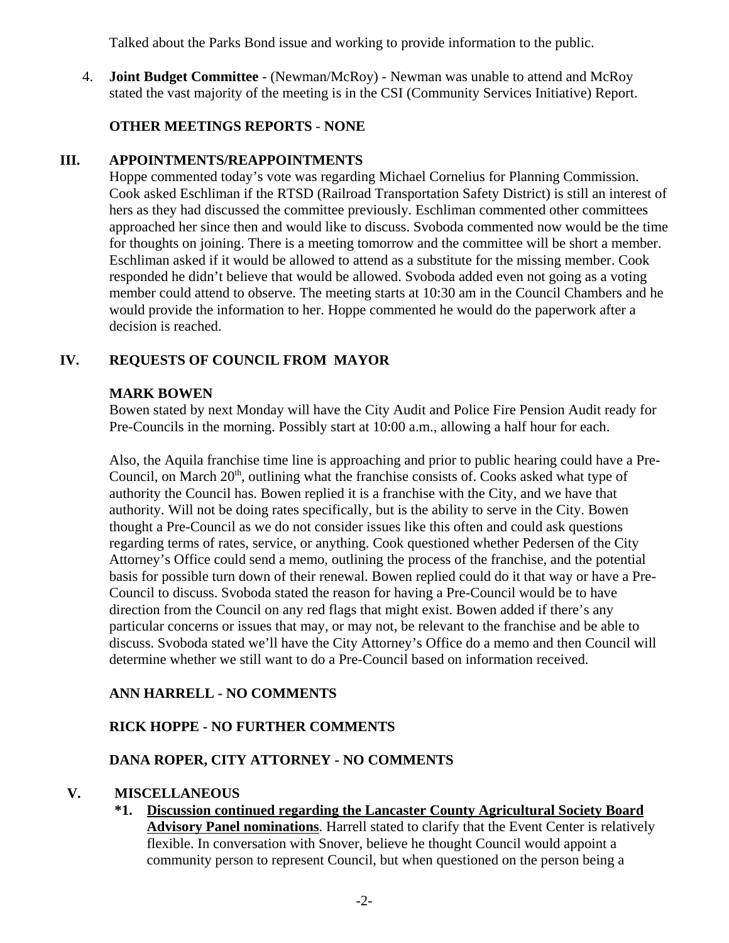Talked about the Parks Bond issue and working to provide information to the public.

4. **Joint Budget Committee** - (Newman/McRoy) - Newman was unable to attend and McRoy stated the vast majority of the meeting is in the CSI (Community Services Initiative) Report.

# **OTHER MEETINGS REPORTS** - **NONE**

## **III. APPOINTMENTS/REAPPOINTMENTS**

Hoppe commented today's vote was regarding Michael Cornelius for Planning Commission. Cook asked Eschliman if the RTSD (Railroad Transportation Safety District) is still an interest of hers as they had discussed the committee previously. Eschliman commented other committees approached her since then and would like to discuss. Svoboda commented now would be the time for thoughts on joining. There is a meeting tomorrow and the committee will be short a member. Eschliman asked if it would be allowed to attend as a substitute for the missing member. Cook responded he didn't believe that would be allowed. Svoboda added even not going as a voting member could attend to observe. The meeting starts at 10:30 am in the Council Chambers and he would provide the information to her. Hoppe commented he would do the paperwork after a decision is reached.

# **IV. REQUESTS OF COUNCIL FROM MAYOR**

### **MARK BOWEN**

Bowen stated by next Monday will have the City Audit and Police Fire Pension Audit ready for Pre-Councils in the morning. Possibly start at 10:00 a.m., allowing a half hour for each.

Also, the Aquila franchise time line is approaching and prior to public hearing could have a Pre-Council, on March  $20<sup>th</sup>$ , outlining what the franchise consists of. Cooks asked what type of authority the Council has. Bowen replied it is a franchise with the City, and we have that authority. Will not be doing rates specifically, but is the ability to serve in the City. Bowen thought a Pre-Council as we do not consider issues like this often and could ask questions regarding terms of rates, service, or anything. Cook questioned whether Pedersen of the City Attorney's Office could send a memo, outlining the process of the franchise, and the potential basis for possible turn down of their renewal. Bowen replied could do it that way or have a Pre-Council to discuss. Svoboda stated the reason for having a Pre-Council would be to have direction from the Council on any red flags that might exist. Bowen added if there's any particular concerns or issues that may, or may not, be relevant to the franchise and be able to discuss. Svoboda stated we'll have the City Attorney's Office do a memo and then Council will determine whether we still want to do a Pre-Council based on information received.

# **ANN HARRELL - NO COMMENTS**

## **RICK HOPPE - NO FURTHER COMMENTS**

## **DANA ROPER, CITY ATTORNEY - NO COMMENTS**

## **V. MISCELLANEOUS**

**\*1. Discussion continued regarding the Lancaster County Agricultural Society Board Advisory Panel nominations**. Harrell stated to clarify that the Event Center is relatively flexible. In conversation with Snover, believe he thought Council would appoint a community person to represent Council, but when questioned on the person being a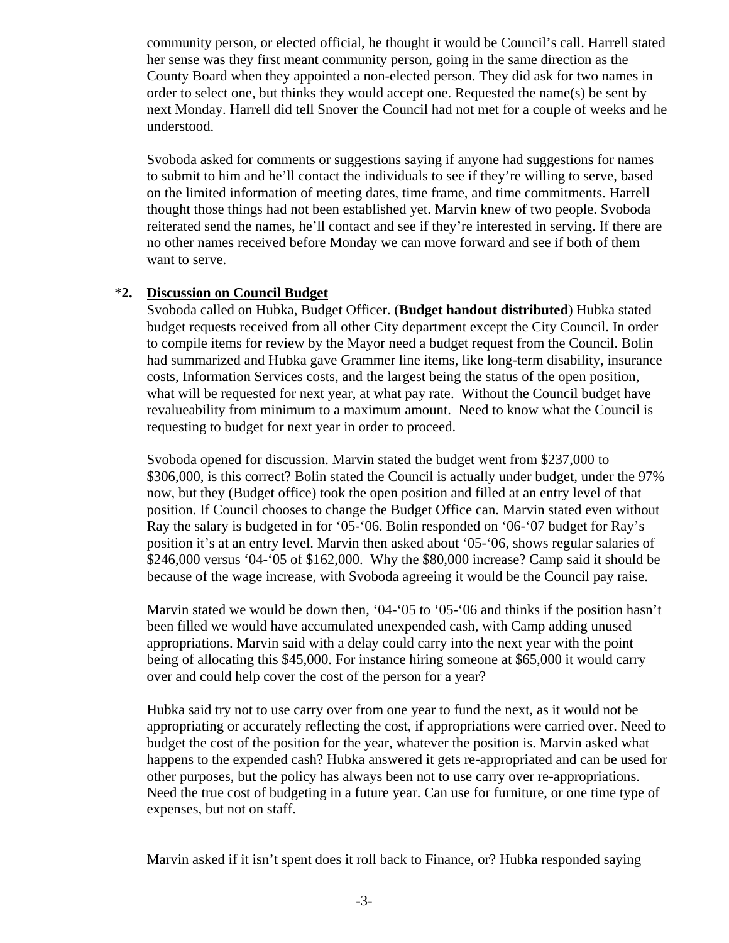community person, or elected official, he thought it would be Council's call. Harrell stated her sense was they first meant community person, going in the same direction as the County Board when they appointed a non-elected person. They did ask for two names in order to select one, but thinks they would accept one. Requested the name(s) be sent by next Monday. Harrell did tell Snover the Council had not met for a couple of weeks and he understood.

Svoboda asked for comments or suggestions saying if anyone had suggestions for names to submit to him and he'll contact the individuals to see if they're willing to serve, based on the limited information of meeting dates, time frame, and time commitments. Harrell thought those things had not been established yet. Marvin knew of two people. Svoboda reiterated send the names, he'll contact and see if they're interested in serving. If there are no other names received before Monday we can move forward and see if both of them want to serve.

#### \***2. Discussion on Council Budget**

Svoboda called on Hubka, Budget Officer. (**Budget handout distributed**) Hubka stated budget requests received from all other City department except the City Council. In order to compile items for review by the Mayor need a budget request from the Council. Bolin had summarized and Hubka gave Grammer line items, like long-term disability, insurance costs, Information Services costs, and the largest being the status of the open position, what will be requested for next year, at what pay rate. Without the Council budget have revalueability from minimum to a maximum amount. Need to know what the Council is requesting to budget for next year in order to proceed.

 Svoboda opened for discussion. Marvin stated the budget went from \$237,000 to \$306,000, is this correct? Bolin stated the Council is actually under budget, under the 97% now, but they (Budget office) took the open position and filled at an entry level of that position. If Council chooses to change the Budget Office can. Marvin stated even without Ray the salary is budgeted in for '05-'06. Bolin responded on '06-'07 budget for Ray's position it's at an entry level. Marvin then asked about '05-'06, shows regular salaries of \$246,000 versus '04-'05 of \$162,000. Why the \$80,000 increase? Camp said it should be because of the wage increase, with Svoboda agreeing it would be the Council pay raise.

Marvin stated we would be down then, '04-'05 to '05-'06 and thinks if the position hasn't been filled we would have accumulated unexpended cash, with Camp adding unused appropriations. Marvin said with a delay could carry into the next year with the point being of allocating this \$45,000. For instance hiring someone at \$65,000 it would carry over and could help cover the cost of the person for a year?

Hubka said try not to use carry over from one year to fund the next, as it would not be appropriating or accurately reflecting the cost, if appropriations were carried over. Need to budget the cost of the position for the year, whatever the position is. Marvin asked what happens to the expended cash? Hubka answered it gets re-appropriated and can be used for other purposes, but the policy has always been not to use carry over re-appropriations. Need the true cost of budgeting in a future year. Can use for furniture, or one time type of expenses, but not on staff.

Marvin asked if it isn't spent does it roll back to Finance, or? Hubka responded saying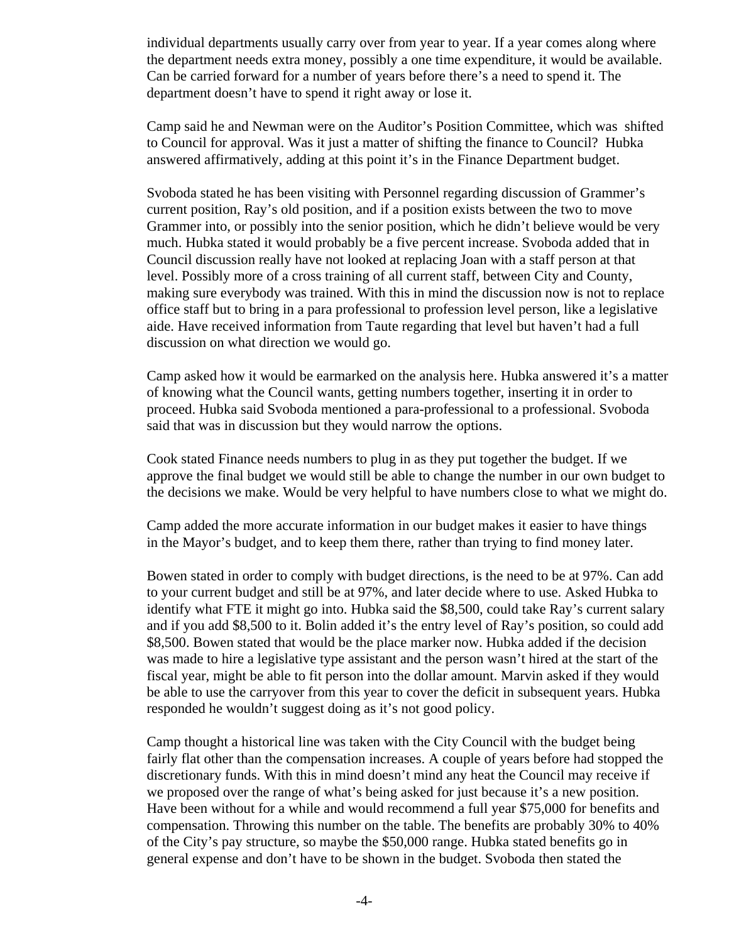individual departments usually carry over from year to year. If a year comes along where the department needs extra money, possibly a one time expenditure, it would be available. Can be carried forward for a number of years before there's a need to spend it. The department doesn't have to spend it right away or lose it.

Camp said he and Newman were on the Auditor's Position Committee, which was shifted to Council for approval. Was it just a matter of shifting the finance to Council? Hubka answered affirmatively, adding at this point it's in the Finance Department budget.

Svoboda stated he has been visiting with Personnel regarding discussion of Grammer's current position, Ray's old position, and if a position exists between the two to move Grammer into, or possibly into the senior position, which he didn't believe would be very much. Hubka stated it would probably be a five percent increase. Svoboda added that in Council discussion really have not looked at replacing Joan with a staff person at that level. Possibly more of a cross training of all current staff, between City and County, making sure everybody was trained. With this in mind the discussion now is not to replace office staff but to bring in a para professional to profession level person, like a legislative aide. Have received information from Taute regarding that level but haven't had a full discussion on what direction we would go.

Camp asked how it would be earmarked on the analysis here. Hubka answered it's a matter of knowing what the Council wants, getting numbers together, inserting it in order to proceed. Hubka said Svoboda mentioned a para-professional to a professional. Svoboda said that was in discussion but they would narrow the options.

Cook stated Finance needs numbers to plug in as they put together the budget. If we approve the final budget we would still be able to change the number in our own budget to the decisions we make. Would be very helpful to have numbers close to what we might do.

Camp added the more accurate information in our budget makes it easier to have things in the Mayor's budget, and to keep them there, rather than trying to find money later.

Bowen stated in order to comply with budget directions, is the need to be at 97%. Can add to your current budget and still be at 97%, and later decide where to use. Asked Hubka to identify what FTE it might go into. Hubka said the \$8,500, could take Ray's current salary and if you add \$8,500 to it. Bolin added it's the entry level of Ray's position, so could add \$8,500. Bowen stated that would be the place marker now. Hubka added if the decision was made to hire a legislative type assistant and the person wasn't hired at the start of the fiscal year, might be able to fit person into the dollar amount. Marvin asked if they would be able to use the carryover from this year to cover the deficit in subsequent years. Hubka responded he wouldn't suggest doing as it's not good policy.

Camp thought a historical line was taken with the City Council with the budget being fairly flat other than the compensation increases. A couple of years before had stopped the discretionary funds. With this in mind doesn't mind any heat the Council may receive if we proposed over the range of what's being asked for just because it's a new position. Have been without for a while and would recommend a full year \$75,000 for benefits and compensation. Throwing this number on the table. The benefits are probably 30% to 40% of the City's pay structure, so maybe the \$50,000 range. Hubka stated benefits go in general expense and don't have to be shown in the budget. Svoboda then stated the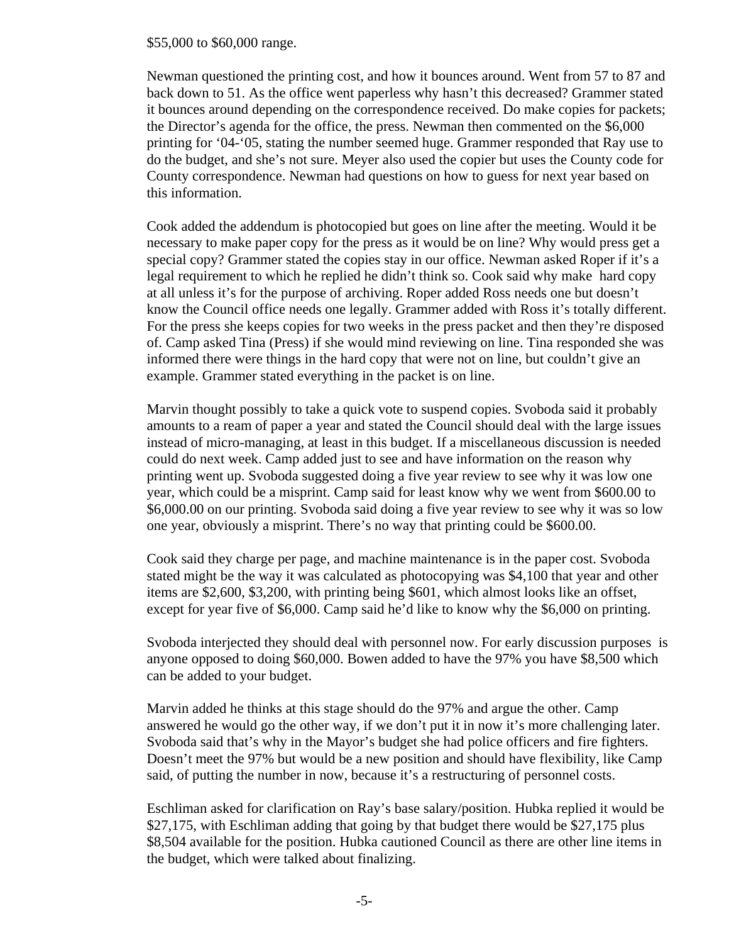\$55,000 to \$60,000 range.

Newman questioned the printing cost, and how it bounces around. Went from 57 to 87 and back down to 51. As the office went paperless why hasn't this decreased? Grammer stated it bounces around depending on the correspondence received. Do make copies for packets; the Director's agenda for the office, the press. Newman then commented on the \$6,000 printing for '04-'05, stating the number seemed huge. Grammer responded that Ray use to do the budget, and she's not sure. Meyer also used the copier but uses the County code for County correspondence. Newman had questions on how to guess for next year based on this information.

Cook added the addendum is photocopied but goes on line after the meeting. Would it be necessary to make paper copy for the press as it would be on line? Why would press get a special copy? Grammer stated the copies stay in our office. Newman asked Roper if it's a legal requirement to which he replied he didn't think so. Cook said why make hard copy at all unless it's for the purpose of archiving. Roper added Ross needs one but doesn't know the Council office needs one legally. Grammer added with Ross it's totally different. For the press she keeps copies for two weeks in the press packet and then they're disposed of. Camp asked Tina (Press) if she would mind reviewing on line. Tina responded she was informed there were things in the hard copy that were not on line, but couldn't give an example. Grammer stated everything in the packet is on line.

Marvin thought possibly to take a quick vote to suspend copies. Svoboda said it probably amounts to a ream of paper a year and stated the Council should deal with the large issues instead of micro-managing, at least in this budget. If a miscellaneous discussion is needed could do next week. Camp added just to see and have information on the reason why printing went up. Svoboda suggested doing a five year review to see why it was low one year, which could be a misprint. Camp said for least know why we went from \$600.00 to \$6,000.00 on our printing. Svoboda said doing a five year review to see why it was so low one year, obviously a misprint. There's no way that printing could be \$600.00.

Cook said they charge per page, and machine maintenance is in the paper cost. Svoboda stated might be the way it was calculated as photocopying was \$4,100 that year and other items are \$2,600, \$3,200, with printing being \$601, which almost looks like an offset, except for year five of \$6,000. Camp said he'd like to know why the \$6,000 on printing.

Svoboda interjected they should deal with personnel now. For early discussion purposes is anyone opposed to doing \$60,000. Bowen added to have the 97% you have \$8,500 which can be added to your budget.

Marvin added he thinks at this stage should do the 97% and argue the other. Camp answered he would go the other way, if we don't put it in now it's more challenging later. Svoboda said that's why in the Mayor's budget she had police officers and fire fighters. Doesn't meet the 97% but would be a new position and should have flexibility, like Camp said, of putting the number in now, because it's a restructuring of personnel costs.

Eschliman asked for clarification on Ray's base salary/position. Hubka replied it would be \$27,175, with Eschliman adding that going by that budget there would be \$27,175 plus \$8,504 available for the position. Hubka cautioned Council as there are other line items in the budget, which were talked about finalizing.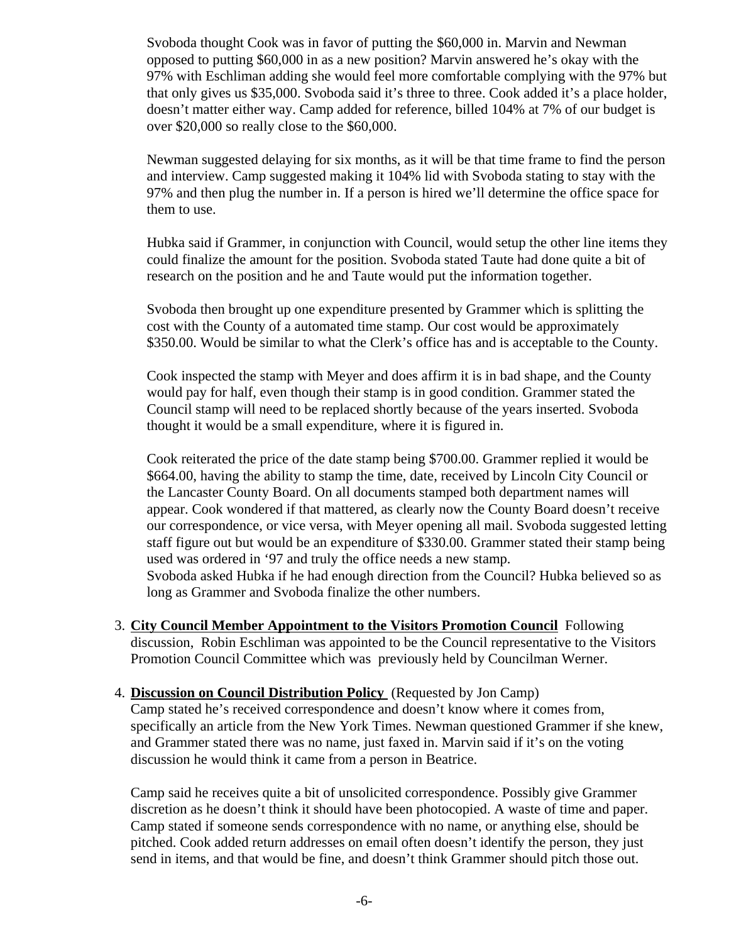Svoboda thought Cook was in favor of putting the \$60,000 in. Marvin and Newman opposed to putting \$60,000 in as a new position? Marvin answered he's okay with the 97% with Eschliman adding she would feel more comfortable complying with the 97% but that only gives us \$35,000. Svoboda said it's three to three. Cook added it's a place holder, doesn't matter either way. Camp added for reference, billed 104% at 7% of our budget is over \$20,000 so really close to the \$60,000.

Newman suggested delaying for six months, as it will be that time frame to find the person and interview. Camp suggested making it 104% lid with Svoboda stating to stay with the 97% and then plug the number in. If a person is hired we'll determine the office space for them to use.

Hubka said if Grammer, in conjunction with Council, would setup the other line items they could finalize the amount for the position. Svoboda stated Taute had done quite a bit of research on the position and he and Taute would put the information together.

Svoboda then brought up one expenditure presented by Grammer which is splitting the cost with the County of a automated time stamp. Our cost would be approximately \$350.00. Would be similar to what the Clerk's office has and is acceptable to the County.

Cook inspected the stamp with Meyer and does affirm it is in bad shape, and the County would pay for half, even though their stamp is in good condition. Grammer stated the Council stamp will need to be replaced shortly because of the years inserted. Svoboda thought it would be a small expenditure, where it is figured in.

Cook reiterated the price of the date stamp being \$700.00. Grammer replied it would be \$664.00, having the ability to stamp the time, date, received by Lincoln City Council or the Lancaster County Board. On all documents stamped both department names will appear. Cook wondered if that mattered, as clearly now the County Board doesn't receive our correspondence, or vice versa, with Meyer opening all mail. Svoboda suggested letting staff figure out but would be an expenditure of \$330.00. Grammer stated their stamp being used was ordered in '97 and truly the office needs a new stamp. Svoboda asked Hubka if he had enough direction from the Council? Hubka believed so as long as Grammer and Svoboda finalize the other numbers.

- 3. **City Council Member Appointment to the Visitors Promotion Council** Following discussion, Robin Eschliman was appointed to be the Council representative to the Visitors Promotion Council Committee which was previously held by Councilman Werner.
- 4. **Discussion on Council Distribution Policy** (Requested by Jon Camp)

Camp stated he's received correspondence and doesn't know where it comes from, specifically an article from the New York Times. Newman questioned Grammer if she knew, and Grammer stated there was no name, just faxed in. Marvin said if it's on the voting discussion he would think it came from a person in Beatrice.

Camp said he receives quite a bit of unsolicited correspondence. Possibly give Grammer discretion as he doesn't think it should have been photocopied. A waste of time and paper. Camp stated if someone sends correspondence with no name, or anything else, should be pitched. Cook added return addresses on email often doesn't identify the person, they just send in items, and that would be fine, and doesn't think Grammer should pitch those out.